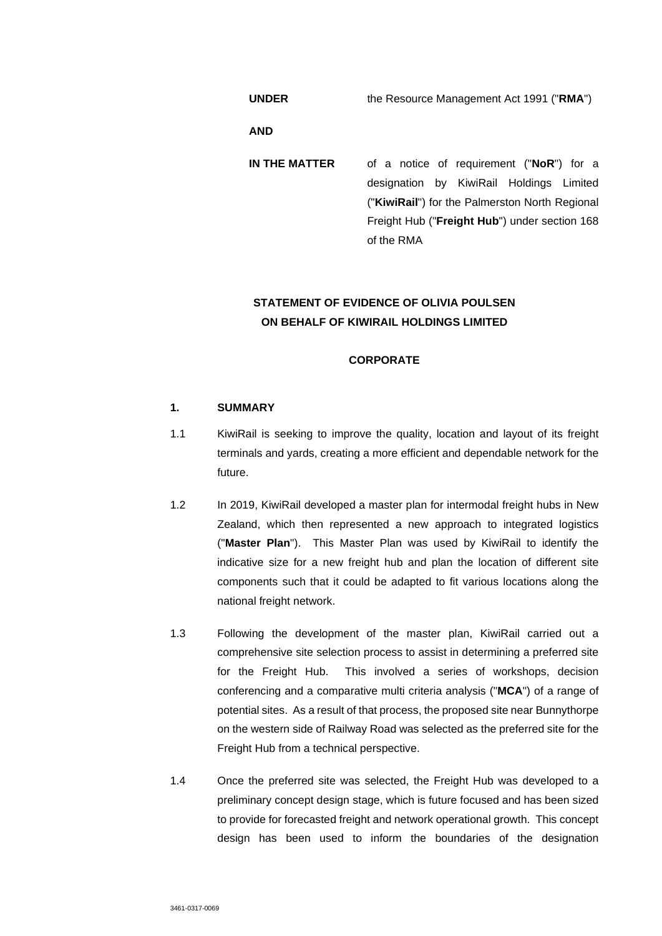**UNDER** the Resource Management Act 1991 ("**RMA**")

**AND** 

**IN THE MATTER** of a notice of requirement ("**NoR**") for a designation by KiwiRail Holdings Limited ("**KiwiRail**") for the Palmerston North Regional Freight Hub ("**Freight Hub**") under section 168 of the RMA

# **STATEMENT OF EVIDENCE OF OLIVIA POULSEN ON BEHALF OF KIWIRAIL HOLDINGS LIMITED**

# **CORPORATE**

# **1. SUMMARY**

- 1.1 KiwiRail is seeking to improve the quality, location and layout of its freight terminals and yards, creating a more efficient and dependable network for the future.
- 1.2 In 2019, KiwiRail developed a master plan for intermodal freight hubs in New Zealand, which then represented a new approach to integrated logistics ("**Master Plan**"). This Master Plan was used by KiwiRail to identify the indicative size for a new freight hub and plan the location of different site components such that it could be adapted to fit various locations along the national freight network.
- 1.3 Following the development of the master plan, KiwiRail carried out a comprehensive site selection process to assist in determining a preferred site for the Freight Hub. This involved a series of workshops, decision conferencing and a comparative multi criteria analysis ("**MCA**") of a range of potential sites. As a result of that process, the proposed site near Bunnythorpe on the western side of Railway Road was selected as the preferred site for the Freight Hub from a technical perspective.
- 1.4 Once the preferred site was selected, the Freight Hub was developed to a preliminary concept design stage, which is future focused and has been sized to provide for forecasted freight and network operational growth. This concept design has been used to inform the boundaries of the designation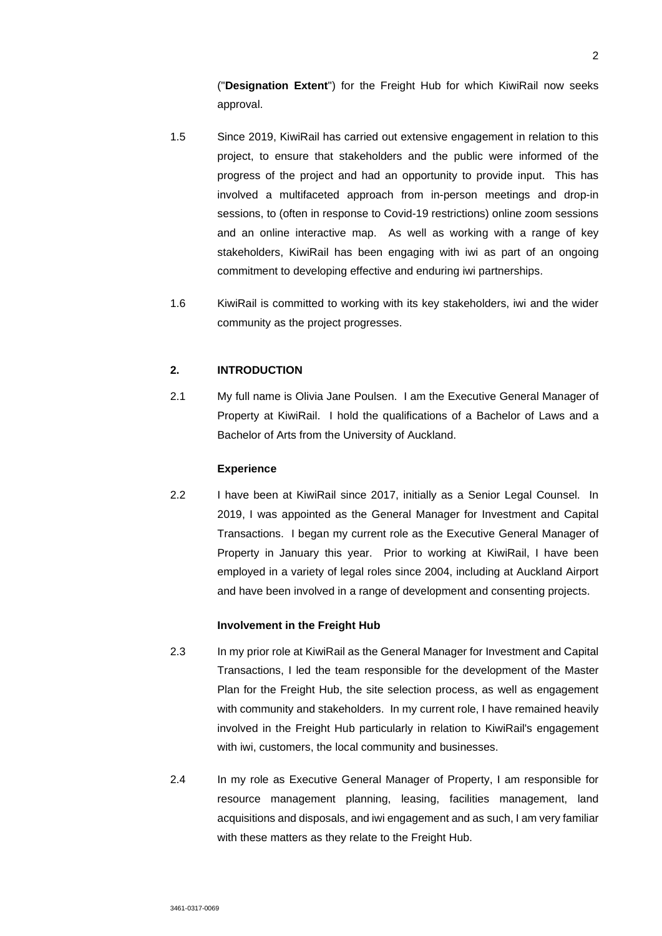("**Designation Extent**") for the Freight Hub for which KiwiRail now seeks approval.

- 1.5 Since 2019, KiwiRail has carried out extensive engagement in relation to this project, to ensure that stakeholders and the public were informed of the progress of the project and had an opportunity to provide input. This has involved a multifaceted approach from in-person meetings and drop-in sessions, to (often in response to Covid-19 restrictions) online zoom sessions and an online interactive map. As well as working with a range of key stakeholders, KiwiRail has been engaging with iwi as part of an ongoing commitment to developing effective and enduring iwi partnerships.
- 1.6 KiwiRail is committed to working with its key stakeholders, iwi and the wider community as the project progresses.

## **2. INTRODUCTION**

2.1 My full name is Olivia Jane Poulsen. I am the Executive General Manager of Property at KiwiRail. I hold the qualifications of a Bachelor of Laws and a Bachelor of Arts from the University of Auckland.

#### **Experience**

2.2 I have been at KiwiRail since 2017, initially as a Senior Legal Counsel. In 2019, I was appointed as the General Manager for Investment and Capital Transactions. I began my current role as the Executive General Manager of Property in January this year. Prior to working at KiwiRail, I have been employed in a variety of legal roles since 2004, including at Auckland Airport and have been involved in a range of development and consenting projects.

### **Involvement in the Freight Hub**

- 2.3 In my prior role at KiwiRail as the General Manager for Investment and Capital Transactions, I led the team responsible for the development of the Master Plan for the Freight Hub, the site selection process, as well as engagement with community and stakeholders. In my current role, I have remained heavily involved in the Freight Hub particularly in relation to KiwiRail's engagement with iwi, customers, the local community and businesses.
- 2.4 In my role as Executive General Manager of Property, I am responsible for resource management planning, leasing, facilities management, land acquisitions and disposals, and iwi engagement and as such, I am very familiar with these matters as they relate to the Freight Hub.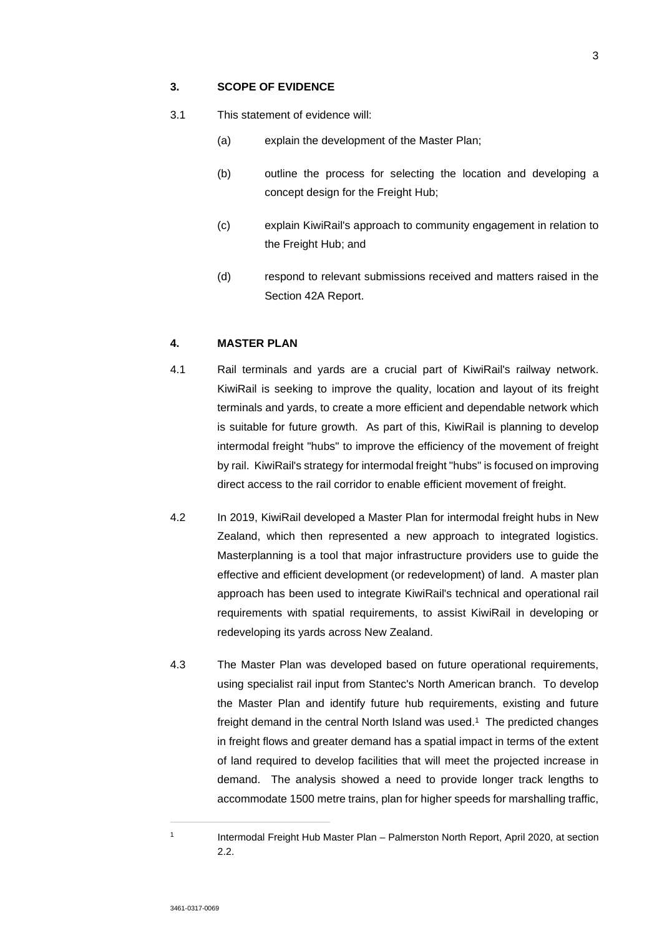### **3. SCOPE OF EVIDENCE**

- 3.1 This statement of evidence will:
	- (a) explain the development of the Master Plan;
	- (b) outline the process for selecting the location and developing a concept design for the Freight Hub;
	- (c) explain KiwiRail's approach to community engagement in relation to the Freight Hub; and
	- (d) respond to relevant submissions received and matters raised in the Section 42A Report.

#### **4. MASTER PLAN**

- 4.1 Rail terminals and yards are a crucial part of KiwiRail's railway network. KiwiRail is seeking to improve the quality, location and layout of its freight terminals and yards, to create a more efficient and dependable network which is suitable for future growth. As part of this, KiwiRail is planning to develop intermodal freight "hubs" to improve the efficiency of the movement of freight by rail. KiwiRail's strategy for intermodal freight "hubs" is focused on improving direct access to the rail corridor to enable efficient movement of freight.
- 4.2 In 2019, KiwiRail developed a Master Plan for intermodal freight hubs in New Zealand, which then represented a new approach to integrated logistics. Masterplanning is a tool that major infrastructure providers use to guide the effective and efficient development (or redevelopment) of land. A master plan approach has been used to integrate KiwiRail's technical and operational rail requirements with spatial requirements, to assist KiwiRail in developing or redeveloping its yards across New Zealand.
- 4.3 The Master Plan was developed based on future operational requirements, using specialist rail input from Stantec's North American branch. To develop the Master Plan and identify future hub requirements, existing and future freight demand in the central North Island was used.<sup>1</sup> The predicted changes in freight flows and greater demand has a spatial impact in terms of the extent of land required to develop facilities that will meet the projected increase in demand. The analysis showed a need to provide longer track lengths to accommodate 1500 metre trains, plan for higher speeds for marshalling traffic,

1

Intermodal Freight Hub Master Plan – Palmerston North Report, April 2020, at section 2.2.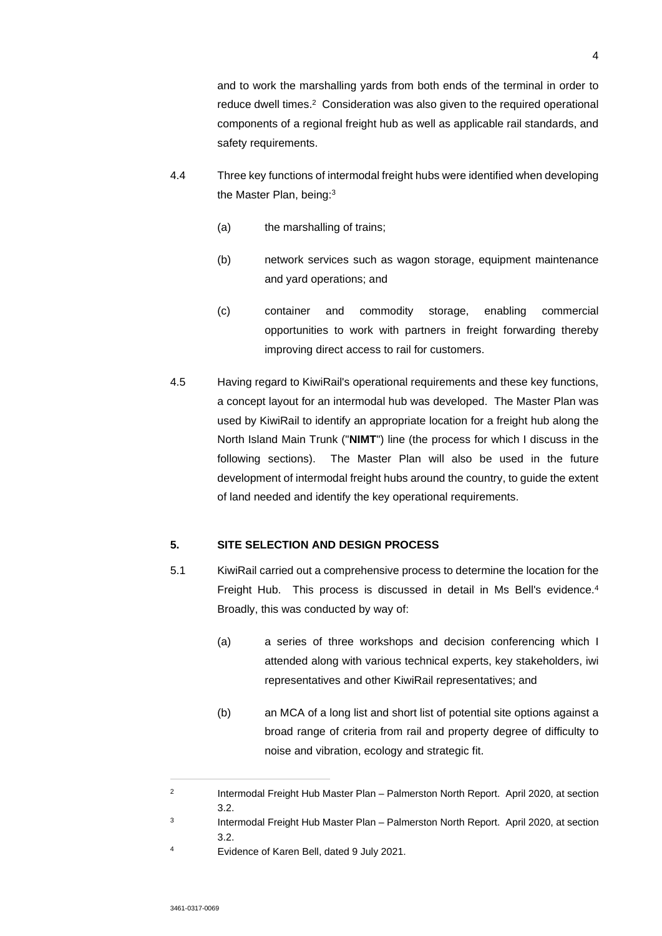and to work the marshalling yards from both ends of the terminal in order to reduce dwell times.<sup>2</sup> Consideration was also given to the required operational components of a regional freight hub as well as applicable rail standards, and safety requirements.

- 4.4 Three key functions of intermodal freight hubs were identified when developing the Master Plan, being:<sup>3</sup>
	- (a) the marshalling of trains;
	- (b) network services such as wagon storage, equipment maintenance and yard operations; and
	- (c) container and commodity storage, enabling commercial opportunities to work with partners in freight forwarding thereby improving direct access to rail for customers.
- 4.5 Having regard to KiwiRail's operational requirements and these key functions, a concept layout for an intermodal hub was developed. The Master Plan was used by KiwiRail to identify an appropriate location for a freight hub along the North Island Main Trunk ("**NIMT**") line (the process for which I discuss in the following sections). The Master Plan will also be used in the future development of intermodal freight hubs around the country, to guide the extent of land needed and identify the key operational requirements.

# **5. SITE SELECTION AND DESIGN PROCESS**

- 5.1 KiwiRail carried out a comprehensive process to determine the location for the Freight Hub. This process is discussed in detail in Ms Bell's evidence.<sup>4</sup> Broadly, this was conducted by way of:
	- (a) a series of three workshops and decision conferencing which I attended along with various technical experts, key stakeholders, iwi representatives and other KiwiRail representatives; and
	- (b) an MCA of a long list and short list of potential site options against a broad range of criteria from rail and property degree of difficulty to noise and vibration, ecology and strategic fit.

 $\overline{2}$ Intermodal Freight Hub Master Plan – Palmerston North Report. April 2020, at section 3.2.

<sup>3</sup> Intermodal Freight Hub Master Plan – Palmerston North Report. April 2020, at section 3.2.

<sup>4</sup> Evidence of Karen Bell, dated 9 July 2021.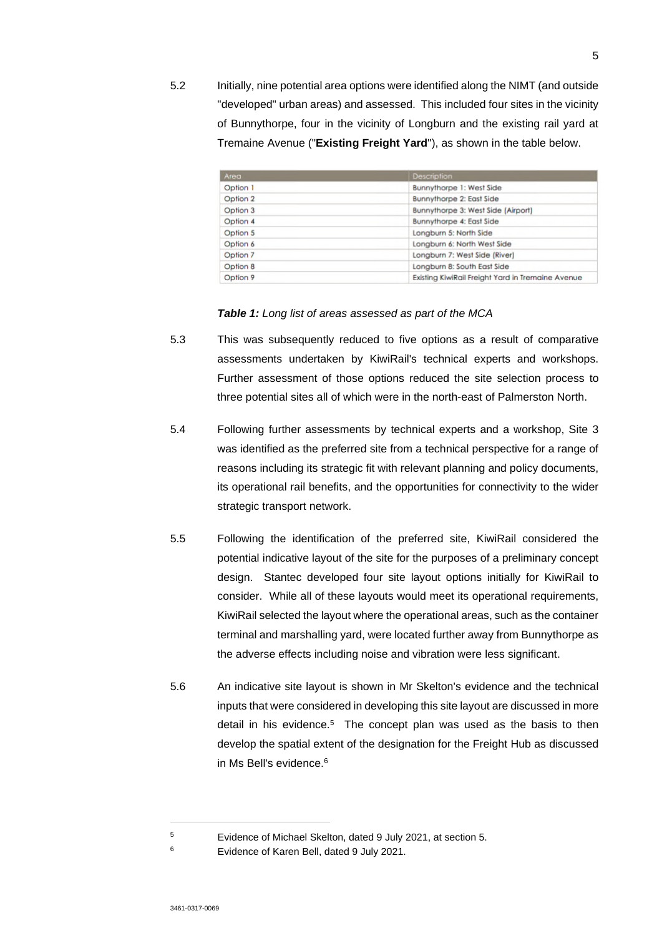5.2 Initially, nine potential area options were identified along the NIMT (and outside "developed" urban areas) and assessed. This included four sites in the vicinity of Bunnythorpe, four in the vicinity of Longburn and the existing rail yard at Tremaine Avenue ("**Existing Freight Yard**"), as shown in the table below.

| Area     | <b>Description</b>                                |  |
|----------|---------------------------------------------------|--|
| Option 1 | Bunnythorpe 1: West Side                          |  |
| Option 2 | Bunnythorpe 2: East Side                          |  |
| Option 3 | Bunnythorpe 3: West Side (Airport)                |  |
| Option 4 | Bunnythorpe 4: East Side                          |  |
| Option 5 | Longburn 5: North Side                            |  |
| Option 6 | Longburn 6: North West Side                       |  |
| Option 7 | Longburn 7: West Side (River)                     |  |
| Option 8 | Longburn 8: South East Side                       |  |
| Option 9 | Existing KiwiRail Freight Yard in Tremaine Avenue |  |

*Table 1: Long list of areas assessed as part of the MCA* 

- 5.3 This was subsequently reduced to five options as a result of comparative assessments undertaken by KiwiRail's technical experts and workshops. Further assessment of those options reduced the site selection process to three potential sites all of which were in the north-east of Palmerston North.
- 5.4 Following further assessments by technical experts and a workshop, Site 3 was identified as the preferred site from a technical perspective for a range of reasons including its strategic fit with relevant planning and policy documents, its operational rail benefits, and the opportunities for connectivity to the wider strategic transport network.
- 5.5 Following the identification of the preferred site, KiwiRail considered the potential indicative layout of the site for the purposes of a preliminary concept design. Stantec developed four site layout options initially for KiwiRail to consider. While all of these layouts would meet its operational requirements, KiwiRail selected the layout where the operational areas, such as the container terminal and marshalling yard, were located further away from Bunnythorpe as the adverse effects including noise and vibration were less significant.
- 5.6 An indicative site layout is shown in Mr Skelton's evidence and the technical inputs that were considered in developing this site layout are discussed in more detail in his evidence.<sup>5</sup> The concept plan was used as the basis to then develop the spatial extent of the designation for the Freight Hub as discussed in Ms Bell's evidence  $6$

<sup>5</sup> Evidence of Michael Skelton, dated 9 July 2021, at section 5.

<sup>6</sup> Evidence of Karen Bell, dated 9 July 2021.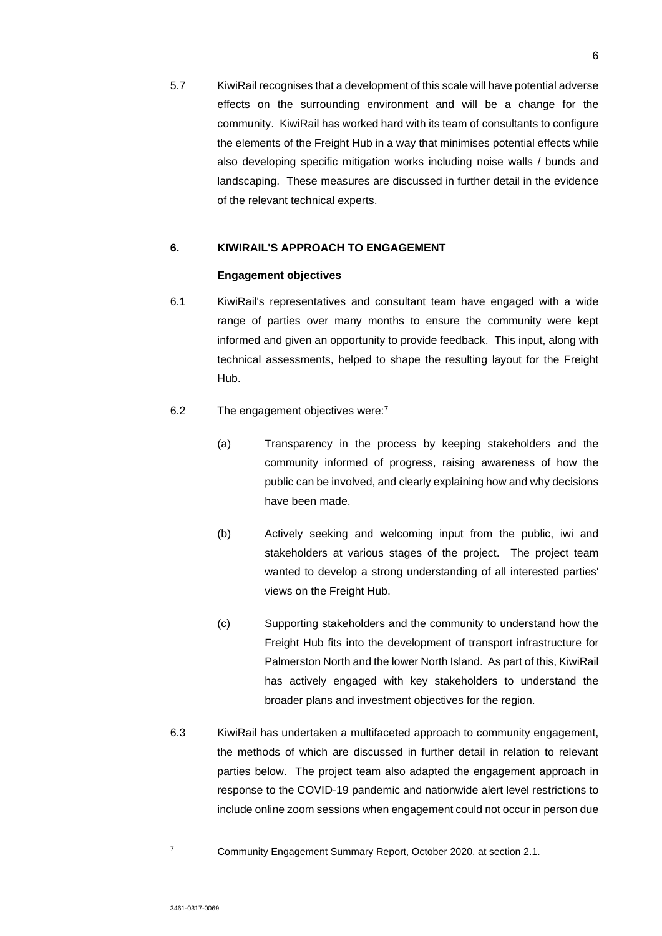5.7 KiwiRail recognises that a development of this scale will have potential adverse effects on the surrounding environment and will be a change for the community. KiwiRail has worked hard with its team of consultants to configure the elements of the Freight Hub in a way that minimises potential effects while also developing specific mitigation works including noise walls / bunds and landscaping. These measures are discussed in further detail in the evidence of the relevant technical experts.

## **6. KIWIRAIL'S APPROACH TO ENGAGEMENT**

### **Engagement objectives**

- 6.1 KiwiRail's representatives and consultant team have engaged with a wide range of parties over many months to ensure the community were kept informed and given an opportunity to provide feedback. This input, along with technical assessments, helped to shape the resulting layout for the Freight Hub.
- 6.2 The engagement objectives were:<sup>7</sup>
	- (a) Transparency in the process by keeping stakeholders and the community informed of progress, raising awareness of how the public can be involved, and clearly explaining how and why decisions have been made.
	- (b) Actively seeking and welcoming input from the public, iwi and stakeholders at various stages of the project. The project team wanted to develop a strong understanding of all interested parties' views on the Freight Hub.
	- (c) Supporting stakeholders and the community to understand how the Freight Hub fits into the development of transport infrastructure for Palmerston North and the lower North Island. As part of this, KiwiRail has actively engaged with key stakeholders to understand the broader plans and investment objectives for the region.
- 6.3 KiwiRail has undertaken a multifaceted approach to community engagement, the methods of which are discussed in further detail in relation to relevant parties below. The project team also adapted the engagement approach in response to the COVID-19 pandemic and nationwide alert level restrictions to include online zoom sessions when engagement could not occur in person due

<sup>7</sup> Community Engagement Summary Report, October 2020, at section 2.1.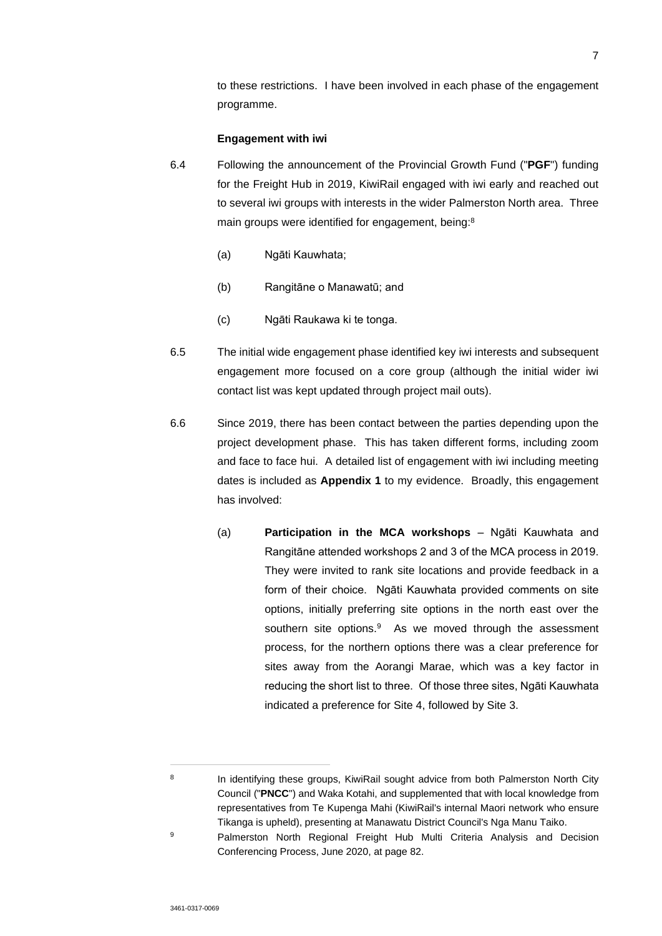to these restrictions. I have been involved in each phase of the engagement programme.

## **Engagement with iwi**

- 6.4 Following the announcement of the Provincial Growth Fund ("**PGF**") funding for the Freight Hub in 2019, KiwiRail engaged with iwi early and reached out to several iwi groups with interests in the wider Palmerston North area. Three main groups were identified for engagement, being:<sup>8</sup>
	- (a) Ngāti Kauwhata;
	- (b) Rangitāne o Manawatū; and
	- (c) Ngāti Raukawa ki te tonga.
- 6.5 The initial wide engagement phase identified key iwi interests and subsequent engagement more focused on a core group (although the initial wider iwi contact list was kept updated through project mail outs).
- 6.6 Since 2019, there has been contact between the parties depending upon the project development phase. This has taken different forms, including zoom and face to face hui. A detailed list of engagement with iwi including meeting dates is included as **Appendix 1** to my evidence. Broadly, this engagement has involved:
	- (a) **Participation in the MCA workshops** Ngāti Kauwhata and Rangitāne attended workshops 2 and 3 of the MCA process in 2019. They were invited to rank site locations and provide feedback in a form of their choice. Ngāti Kauwhata provided comments on site options, initially preferring site options in the north east over the southern site options.<sup>9</sup> As we moved through the assessment process, for the northern options there was a clear preference for sites away from the Aorangi Marae, which was a key factor in reducing the short list to three. Of those three sites, Ngāti Kauwhata indicated a preference for Site 4, followed by Site 3.

<sup>8</sup>

In identifying these groups, KiwiRail sought advice from both Palmerston North City Council ("**PNCC**") and Waka Kotahi, and supplemented that with local knowledge from representatives from Te Kupenga Mahi (KiwiRail's internal Maori network who ensure Tikanga is upheld), presenting at Manawatu District Council's Nga Manu Taiko.

<sup>9</sup> **Palmerston North Regional Freight Hub Multi Criteria Analysis and Decision** Conferencing Process, June 2020, at page 82.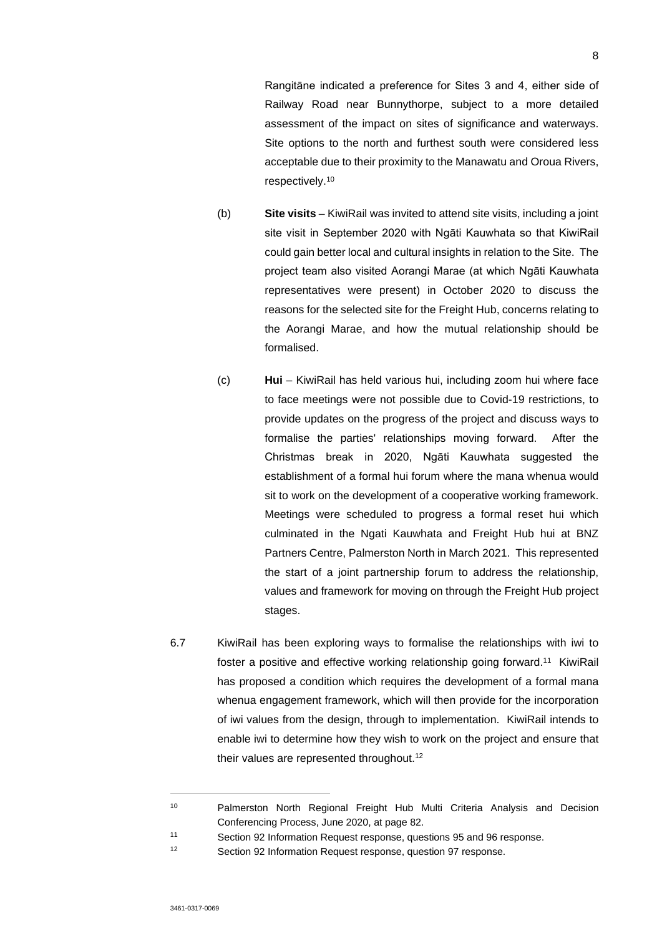Rangitāne indicated a preference for Sites 3 and 4, either side of Railway Road near Bunnythorpe, subject to a more detailed assessment of the impact on sites of significance and waterways. Site options to the north and furthest south were considered less acceptable due to their proximity to the Manawatu and Oroua Rivers, respectively.<sup>10</sup>

- (b) **Site visits** KiwiRail was invited to attend site visits, including a joint site visit in September 2020 with Ngāti Kauwhata so that KiwiRail could gain better local and cultural insights in relation to the Site. The project team also visited Aorangi Marae (at which Ngāti Kauwhata representatives were present) in October 2020 to discuss the reasons for the selected site for the Freight Hub, concerns relating to the Aorangi Marae, and how the mutual relationship should be formalised.
- (c) **Hui**  KiwiRail has held various hui, including zoom hui where face to face meetings were not possible due to Covid-19 restrictions, to provide updates on the progress of the project and discuss ways to formalise the parties' relationships moving forward. After the Christmas break in 2020, Ngāti Kauwhata suggested the establishment of a formal hui forum where the mana whenua would sit to work on the development of a cooperative working framework. Meetings were scheduled to progress a formal reset hui which culminated in the Ngati Kauwhata and Freight Hub hui at BNZ Partners Centre, Palmerston North in March 2021. This represented the start of a joint partnership forum to address the relationship, values and framework for moving on through the Freight Hub project stages.
- 6.7 KiwiRail has been exploring ways to formalise the relationships with iwi to foster a positive and effective working relationship going forward.<sup>11</sup> KiwiRail has proposed a condition which requires the development of a formal mana whenua engagement framework, which will then provide for the incorporation of iwi values from the design, through to implementation. KiwiRail intends to enable iwi to determine how they wish to work on the project and ensure that their values are represented throughout.<sup>12</sup>

<sup>10</sup> Palmerston North Regional Freight Hub Multi Criteria Analysis and Decision Conferencing Process, June 2020, at page 82.

<sup>11</sup> Section 92 Information Request response, questions 95 and 96 response.

<sup>12</sup> Section 92 Information Request response, question 97 response.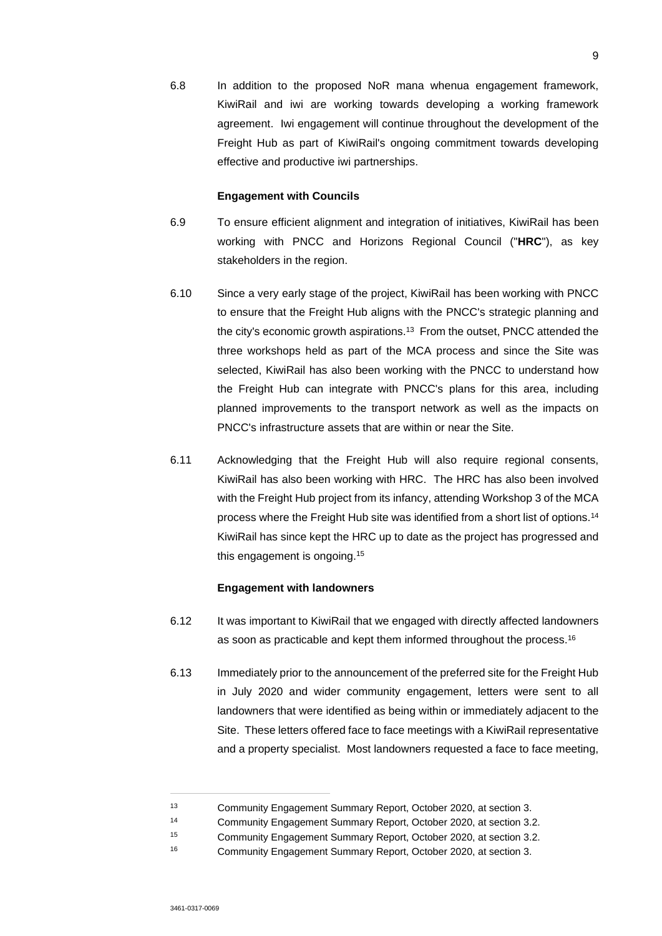6.8 In addition to the proposed NoR mana whenua engagement framework, KiwiRail and iwi are working towards developing a working framework agreement. Iwi engagement will continue throughout the development of the Freight Hub as part of KiwiRail's ongoing commitment towards developing effective and productive iwi partnerships.

#### **Engagement with Councils**

- 6.9 To ensure efficient alignment and integration of initiatives, KiwiRail has been working with PNCC and Horizons Regional Council ("**HRC**"), as key stakeholders in the region.
- 6.10 Since a very early stage of the project, KiwiRail has been working with PNCC to ensure that the Freight Hub aligns with the PNCC's strategic planning and the city's economic growth aspirations.<sup>13</sup> From the outset, PNCC attended the three workshops held as part of the MCA process and since the Site was selected, KiwiRail has also been working with the PNCC to understand how the Freight Hub can integrate with PNCC's plans for this area, including planned improvements to the transport network as well as the impacts on PNCC's infrastructure assets that are within or near the Site.
- 6.11 Acknowledging that the Freight Hub will also require regional consents, KiwiRail has also been working with HRC. The HRC has also been involved with the Freight Hub project from its infancy, attending Workshop 3 of the MCA process where the Freight Hub site was identified from a short list of options.<sup>14</sup> KiwiRail has since kept the HRC up to date as the project has progressed and this engagement is ongoing.<sup>15</sup>

#### **Engagement with landowners**

- 6.12 It was important to KiwiRail that we engaged with directly affected landowners as soon as practicable and kept them informed throughout the process.<sup>16</sup>
- 6.13 Immediately prior to the announcement of the preferred site for the Freight Hub in July 2020 and wider community engagement, letters were sent to all landowners that were identified as being within or immediately adjacent to the Site. These letters offered face to face meetings with a KiwiRail representative and a property specialist. Most landowners requested a face to face meeting,

<sup>13</sup> Community Engagement Summary Report, October 2020, at section 3.

<sup>14</sup> Community Engagement Summary Report, October 2020, at section 3.2.

<sup>15</sup> Community Engagement Summary Report, October 2020, at section 3.2.

<sup>16</sup> Community Engagement Summary Report, October 2020, at section 3.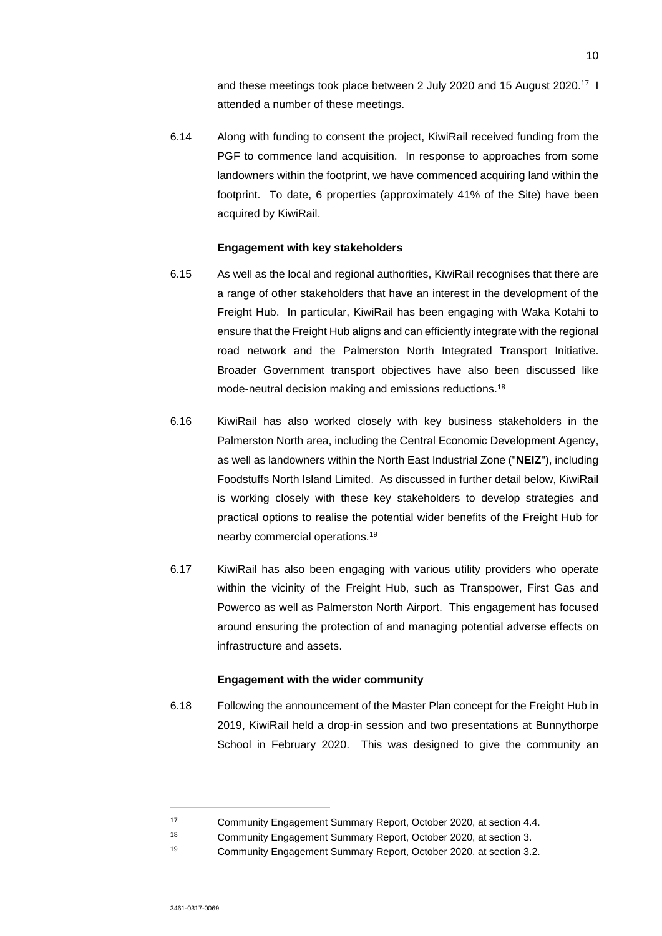and these meetings took place between 2 July 2020 and 15 August 2020.<sup>17</sup> I attended a number of these meetings.

6.14 Along with funding to consent the project, KiwiRail received funding from the PGF to commence land acquisition. In response to approaches from some landowners within the footprint, we have commenced acquiring land within the footprint. To date, 6 properties (approximately 41% of the Site) have been acquired by KiwiRail.

### **Engagement with key stakeholders**

- 6.15 As well as the local and regional authorities, KiwiRail recognises that there are a range of other stakeholders that have an interest in the development of the Freight Hub. In particular, KiwiRail has been engaging with Waka Kotahi to ensure that the Freight Hub aligns and can efficiently integrate with the regional road network and the Palmerston North Integrated Transport Initiative. Broader Government transport objectives have also been discussed like mode-neutral decision making and emissions reductions.<sup>18</sup>
- 6.16 KiwiRail has also worked closely with key business stakeholders in the Palmerston North area, including the Central Economic Development Agency, as well as landowners within the North East Industrial Zone ("**NEIZ**"), including Foodstuffs North Island Limited. As discussed in further detail below, KiwiRail is working closely with these key stakeholders to develop strategies and practical options to realise the potential wider benefits of the Freight Hub for nearby commercial operations.<sup>19</sup>
- 6.17 KiwiRail has also been engaging with various utility providers who operate within the vicinity of the Freight Hub, such as Transpower, First Gas and Powerco as well as Palmerston North Airport. This engagement has focused around ensuring the protection of and managing potential adverse effects on infrastructure and assets.

#### **Engagement with the wider community**

6.18 Following the announcement of the Master Plan concept for the Freight Hub in 2019, KiwiRail held a drop-in session and two presentations at Bunnythorpe School in February 2020. This was designed to give the community an

<sup>17</sup> Community Engagement Summary Report, October 2020, at section 4.4.

<sup>18</sup> Community Engagement Summary Report, October 2020, at section 3.

<sup>19</sup> Community Engagement Summary Report, October 2020, at section 3.2.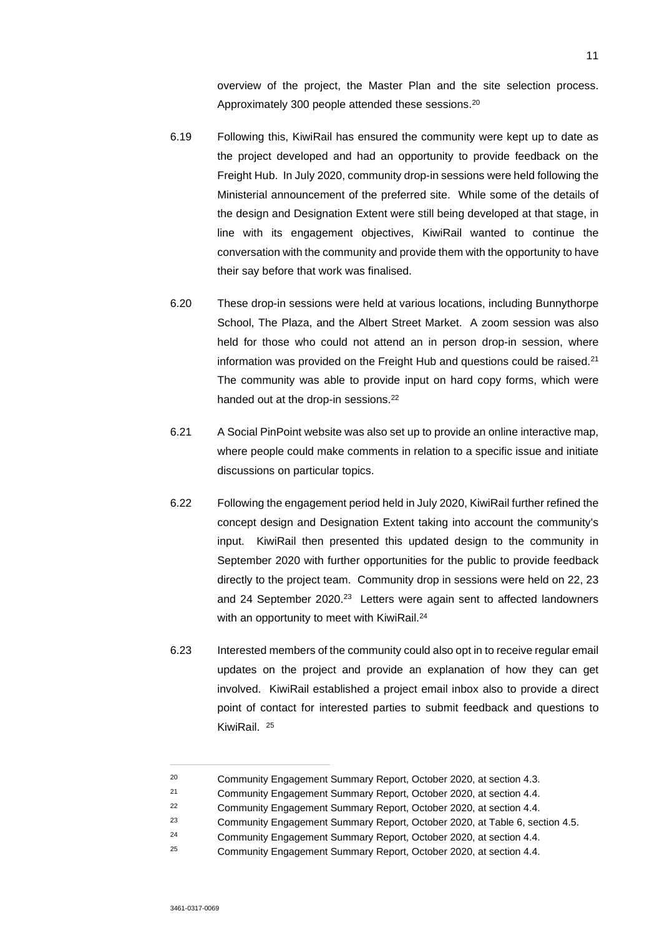overview of the project, the Master Plan and the site selection process. Approximately 300 people attended these sessions.<sup>20</sup>

- 6.19 Following this, KiwiRail has ensured the community were kept up to date as the project developed and had an opportunity to provide feedback on the Freight Hub. In July 2020, community drop-in sessions were held following the Ministerial announcement of the preferred site. While some of the details of the design and Designation Extent were still being developed at that stage, in line with its engagement objectives, KiwiRail wanted to continue the conversation with the community and provide them with the opportunity to have their say before that work was finalised.
- 6.20 These drop-in sessions were held at various locations, including Bunnythorpe School, The Plaza, and the Albert Street Market. A zoom session was also held for those who could not attend an in person drop-in session, where information was provided on the Freight Hub and questions could be raised.<sup>21</sup> The community was able to provide input on hard copy forms, which were handed out at the drop-in sessions.<sup>22</sup>
- 6.21 A Social PinPoint website was also set up to provide an online interactive map, where people could make comments in relation to a specific issue and initiate discussions on particular topics.
- 6.22 Following the engagement period held in July 2020, KiwiRail further refined the concept design and Designation Extent taking into account the community's input. KiwiRail then presented this updated design to the community in September 2020 with further opportunities for the public to provide feedback directly to the project team. Community drop in sessions were held on 22, 23 and 24 September 2020.<sup>23</sup> Letters were again sent to affected landowners with an opportunity to meet with KiwiRail.<sup>24</sup>
- 6.23 Interested members of the community could also opt in to receive regular email updates on the project and provide an explanation of how they can get involved. KiwiRail established a project email inbox also to provide a direct point of contact for interested parties to submit feedback and questions to KiwiRail. <sup>25</sup>

<sup>20</sup> Community Engagement Summary Report, October 2020, at section 4.3.

<sup>21</sup> Community Engagement Summary Report, October 2020, at section 4.4.

<sup>&</sup>lt;sup>22</sup> Community Engagement Summary Report, October 2020, at section 4.4.

<sup>23</sup> Community Engagement Summary Report, October 2020, at Table 6, section 4.5.

<sup>&</sup>lt;sup>24</sup> Community Engagement Summary Report, October 2020, at section 4.4.

<sup>25</sup> Community Engagement Summary Report, October 2020, at section 4.4.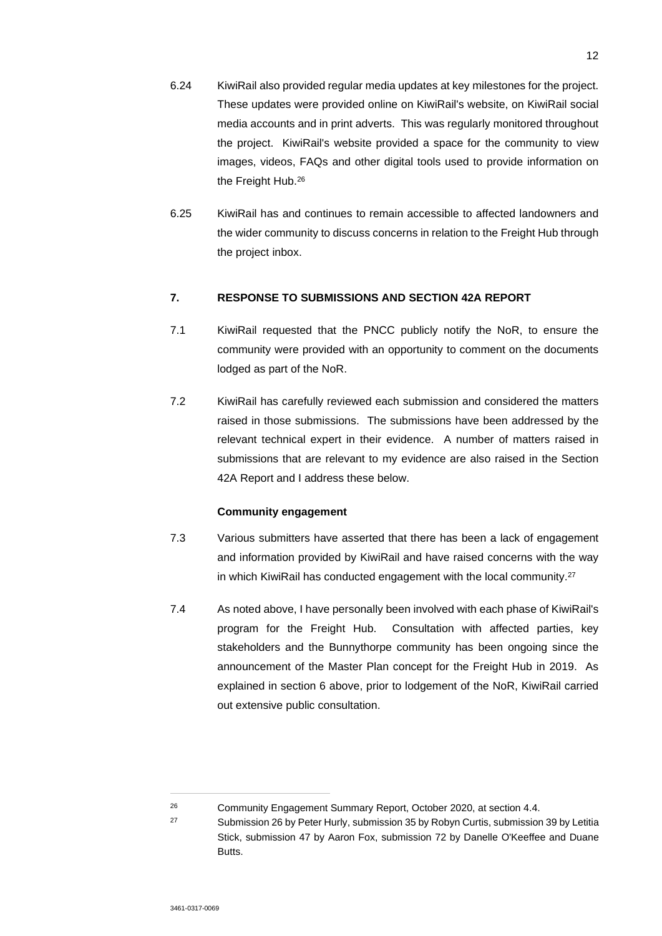- 6.24 KiwiRail also provided regular media updates at key milestones for the project. These updates were provided online on KiwiRail's website, on KiwiRail social media accounts and in print adverts. This was regularly monitored throughout the project. KiwiRail's website provided a space for the community to view images, videos, FAQs and other digital tools used to provide information on the Freight Hub.<sup>26</sup>
- 6.25 KiwiRail has and continues to remain accessible to affected landowners and the wider community to discuss concerns in relation to the Freight Hub through the project inbox.

## **7. RESPONSE TO SUBMISSIONS AND SECTION 42A REPORT**

- 7.1 KiwiRail requested that the PNCC publicly notify the NoR, to ensure the community were provided with an opportunity to comment on the documents lodged as part of the NoR.
- 7.2 KiwiRail has carefully reviewed each submission and considered the matters raised in those submissions. The submissions have been addressed by the relevant technical expert in their evidence. A number of matters raised in submissions that are relevant to my evidence are also raised in the Section 42A Report and I address these below.

## **Community engagement**

- 7.3 Various submitters have asserted that there has been a lack of engagement and information provided by KiwiRail and have raised concerns with the way in which KiwiRail has conducted engagement with the local community.<sup>27</sup>
- 7.4 As noted above, I have personally been involved with each phase of KiwiRail's program for the Freight Hub. Consultation with affected parties, key stakeholders and the Bunnythorpe community has been ongoing since the announcement of the Master Plan concept for the Freight Hub in 2019. As explained in section 6 above, prior to lodgement of the NoR, KiwiRail carried out extensive public consultation.

<sup>26</sup> Community Engagement Summary Report, October 2020, at section 4.4.

<sup>27</sup> Submission 26 by Peter Hurly, submission 35 by Robyn Curtis, submission 39 by Letitia Stick, submission 47 by Aaron Fox, submission 72 by Danelle O'Keeffee and Duane Butts.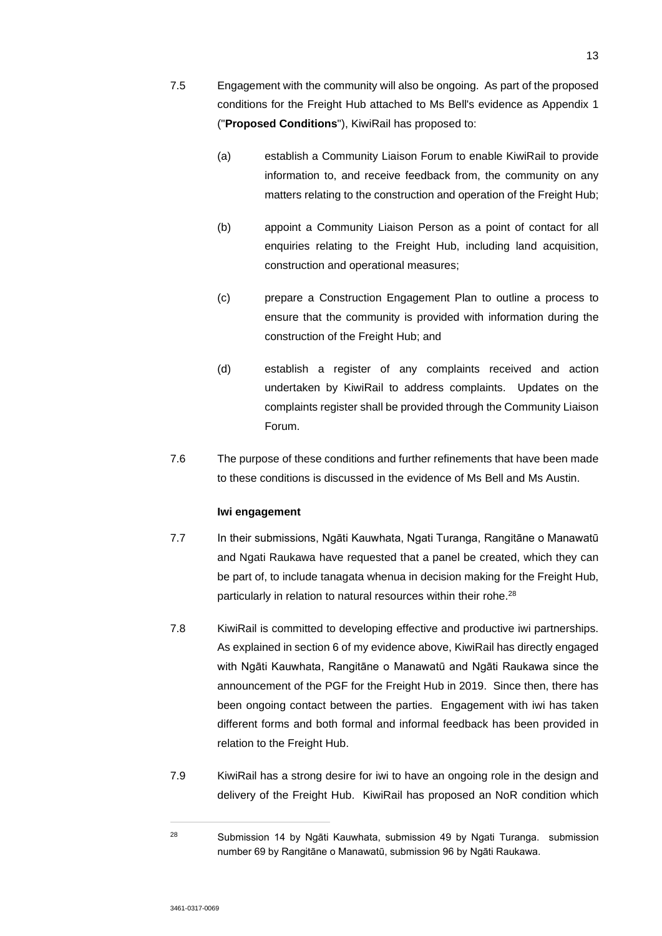- (a) establish a Community Liaison Forum to enable KiwiRail to provide information to, and receive feedback from, the community on any matters relating to the construction and operation of the Freight Hub;
- (b) appoint a Community Liaison Person as a point of contact for all enquiries relating to the Freight Hub, including land acquisition, construction and operational measures;
- (c) prepare a Construction Engagement Plan to outline a process to ensure that the community is provided with information during the construction of the Freight Hub; and
- (d) establish a register of any complaints received and action undertaken by KiwiRail to address complaints. Updates on the complaints register shall be provided through the Community Liaison Forum.
- 7.6 The purpose of these conditions and further refinements that have been made to these conditions is discussed in the evidence of Ms Bell and Ms Austin.

# **Iwi engagement**

- 7.7 In their submissions, Ngāti Kauwhata, Ngati Turanga, Rangitāne o Manawatū and Ngati Raukawa have requested that a panel be created, which they can be part of, to include tanagata whenua in decision making for the Freight Hub, particularly in relation to natural resources within their rohe.<sup>28</sup>
- 7.8 KiwiRail is committed to developing effective and productive iwi partnerships. As explained in section 6 of my evidence above, KiwiRail has directly engaged with Ngāti Kauwhata, Rangitāne o Manawatū and Ngāti Raukawa since the announcement of the PGF for the Freight Hub in 2019. Since then, there has been ongoing contact between the parties. Engagement with iwi has taken different forms and both formal and informal feedback has been provided in relation to the Freight Hub.
- 7.9 KiwiRail has a strong desire for iwi to have an ongoing role in the design and delivery of the Freight Hub. KiwiRail has proposed an NoR condition which

<sup>&</sup>lt;sup>28</sup> Submission 14 by Ngāti Kauwhata, submission 49 by Ngati Turanga, submission number 69 by Rangitāne o Manawatū, submission 96 by Ngāti Raukawa.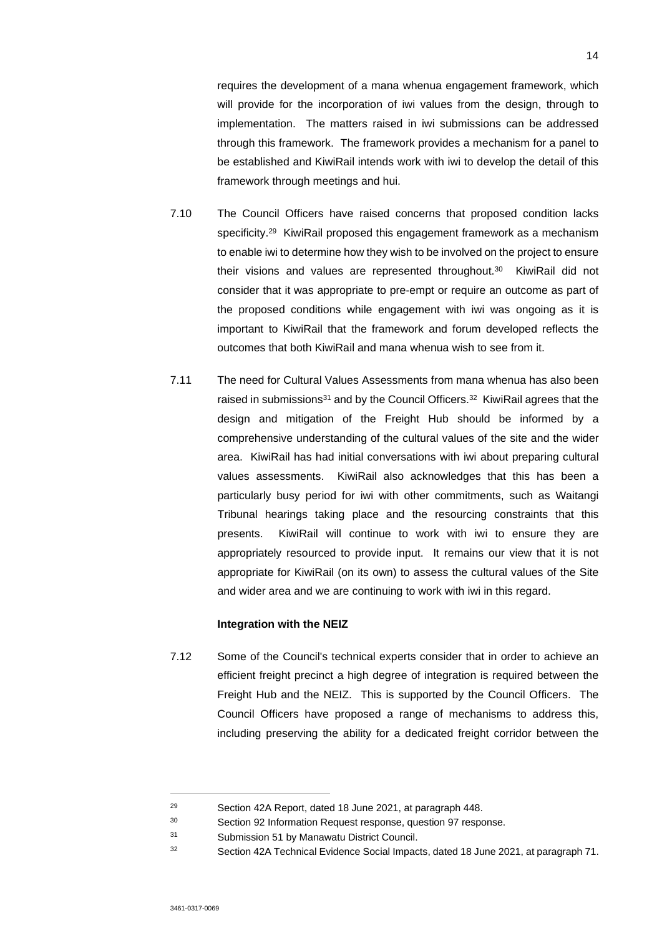requires the development of a mana whenua engagement framework, which will provide for the incorporation of iwi values from the design, through to implementation. The matters raised in iwi submissions can be addressed through this framework. The framework provides a mechanism for a panel to be established and KiwiRail intends work with iwi to develop the detail of this framework through meetings and hui.

- 7.10 The Council Officers have raised concerns that proposed condition lacks specificity.<sup>29</sup> KiwiRail proposed this engagement framework as a mechanism to enable iwi to determine how they wish to be involved on the project to ensure their visions and values are represented throughout.<sup>30</sup> KiwiRail did not consider that it was appropriate to pre-empt or require an outcome as part of the proposed conditions while engagement with iwi was ongoing as it is important to KiwiRail that the framework and forum developed reflects the outcomes that both KiwiRail and mana whenua wish to see from it.
- 7.11 The need for Cultural Values Assessments from mana whenua has also been raised in submissions<sup>31</sup> and by the Council Officers.<sup>32</sup> KiwiRail agrees that the design and mitigation of the Freight Hub should be informed by a comprehensive understanding of the cultural values of the site and the wider area. KiwiRail has had initial conversations with iwi about preparing cultural values assessments. KiwiRail also acknowledges that this has been a particularly busy period for iwi with other commitments, such as Waitangi Tribunal hearings taking place and the resourcing constraints that this presents. KiwiRail will continue to work with iwi to ensure they are appropriately resourced to provide input. It remains our view that it is not appropriate for KiwiRail (on its own) to assess the cultural values of the Site and wider area and we are continuing to work with iwi in this regard.

### **Integration with the NEIZ**

7.12 Some of the Council's technical experts consider that in order to achieve an efficient freight precinct a high degree of integration is required between the Freight Hub and the NEIZ. This is supported by the Council Officers. The Council Officers have proposed a range of mechanisms to address this, including preserving the ability for a dedicated freight corridor between the

<sup>29</sup> Section 42A Report, dated 18 June 2021, at paragraph 448.

<sup>30</sup> Section 92 Information Request response, question 97 response.

<sup>31</sup> Submission 51 by Manawatu District Council.

<sup>32</sup> Section 42A Technical Evidence Social Impacts, dated 18 June 2021, at paragraph 71.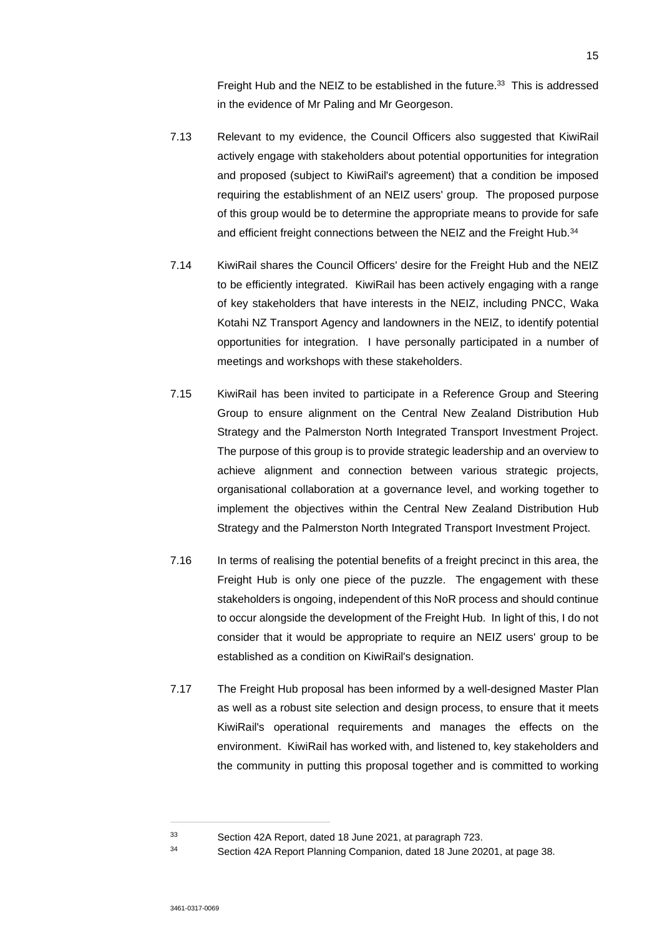Freight Hub and the NEIZ to be established in the future.<sup>33</sup> This is addressed in the evidence of Mr Paling and Mr Georgeson.

- 7.13 Relevant to my evidence, the Council Officers also suggested that KiwiRail actively engage with stakeholders about potential opportunities for integration and proposed (subject to KiwiRail's agreement) that a condition be imposed requiring the establishment of an NEIZ users' group. The proposed purpose of this group would be to determine the appropriate means to provide for safe and efficient freight connections between the NEIZ and the Freight Hub.<sup>34</sup>
- 7.14 KiwiRail shares the Council Officers' desire for the Freight Hub and the NEIZ to be efficiently integrated. KiwiRail has been actively engaging with a range of key stakeholders that have interests in the NEIZ, including PNCC, Waka Kotahi NZ Transport Agency and landowners in the NEIZ, to identify potential opportunities for integration. I have personally participated in a number of meetings and workshops with these stakeholders.
- 7.15 KiwiRail has been invited to participate in a Reference Group and Steering Group to ensure alignment on the Central New Zealand Distribution Hub Strategy and the Palmerston North Integrated Transport Investment Project. The purpose of this group is to provide strategic leadership and an overview to achieve alignment and connection between various strategic projects, organisational collaboration at a governance level, and working together to implement the objectives within the Central New Zealand Distribution Hub Strategy and the Palmerston North Integrated Transport Investment Project.
- 7.16 In terms of realising the potential benefits of a freight precinct in this area, the Freight Hub is only one piece of the puzzle. The engagement with these stakeholders is ongoing, independent of this NoR process and should continue to occur alongside the development of the Freight Hub. In light of this, I do not consider that it would be appropriate to require an NEIZ users' group to be established as a condition on KiwiRail's designation.
- 7.17 The Freight Hub proposal has been informed by a well-designed Master Plan as well as a robust site selection and design process, to ensure that it meets KiwiRail's operational requirements and manages the effects on the environment. KiwiRail has worked with, and listened to, key stakeholders and the community in putting this proposal together and is committed to working

<sup>33</sup> Section 42A Report, dated 18 June 2021, at paragraph 723.

<sup>34</sup> Section 42A Report Planning Companion, dated 18 June 20201, at page 38.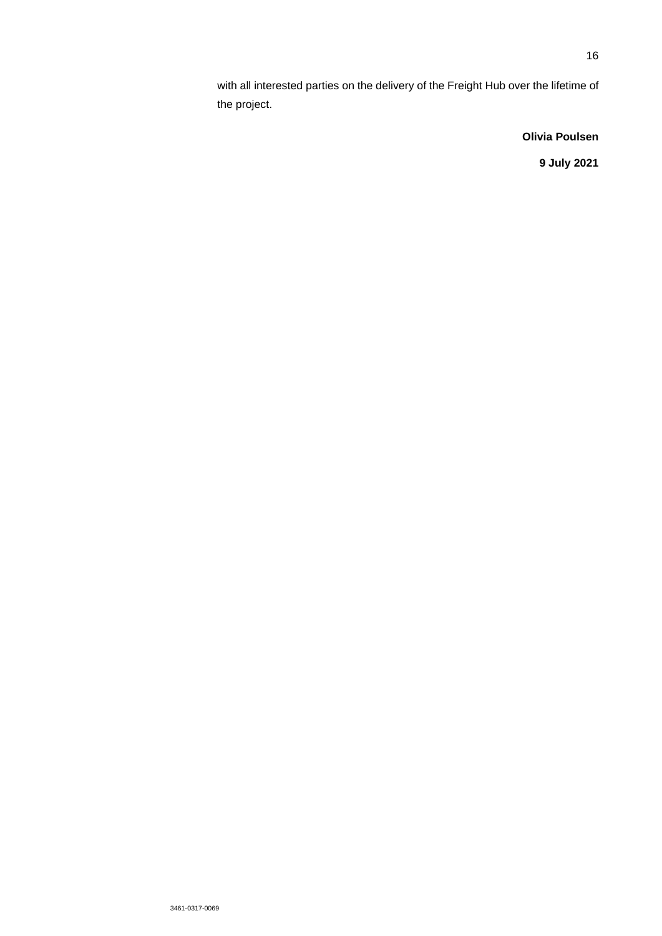with all interested parties on the delivery of the Freight Hub over the lifetime of the project.

**Olivia Poulsen** 

**9 July 2021**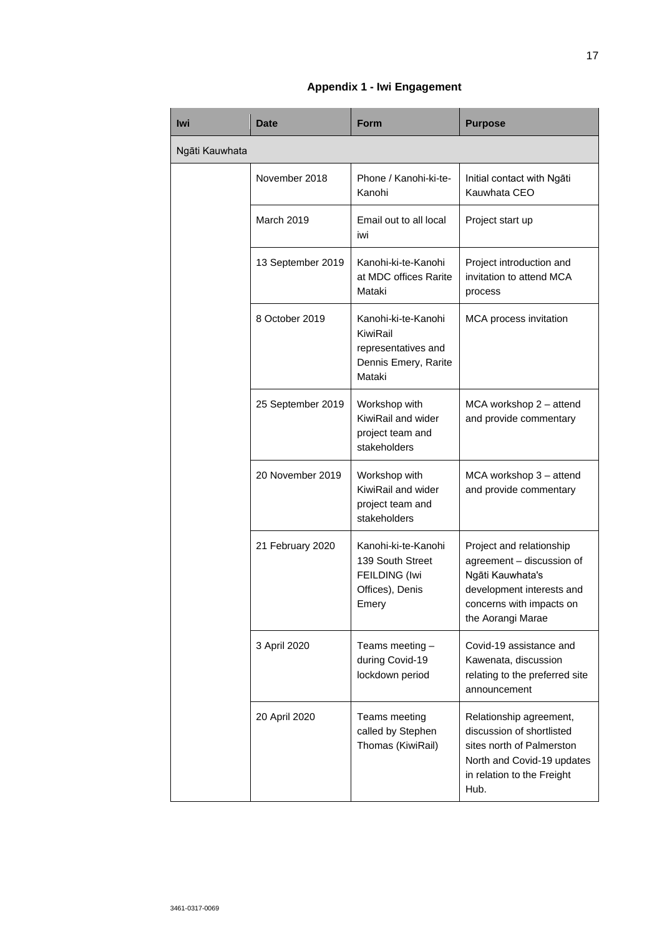# **Appendix 1 - Iwi Engagement**

| <b>Iwi</b>     | Date              | <b>Form</b>                                                                              | <b>Purpose</b>                                                                                                                                          |
|----------------|-------------------|------------------------------------------------------------------------------------------|---------------------------------------------------------------------------------------------------------------------------------------------------------|
| Ngāti Kauwhata |                   |                                                                                          |                                                                                                                                                         |
|                | November 2018     | Phone / Kanohi-ki-te-<br>Kanohi                                                          | Initial contact with Ngāti<br>Kauwhata CEO                                                                                                              |
|                | <b>March 2019</b> | Email out to all local<br>iwi                                                            | Project start up                                                                                                                                        |
|                | 13 September 2019 | Kanohi-ki-te-Kanohi<br>at MDC offices Rarite<br>Mataki                                   | Project introduction and<br>invitation to attend MCA<br>process                                                                                         |
|                | 8 October 2019    | Kanohi-ki-te-Kanohi<br>KiwiRail<br>representatives and<br>Dennis Emery, Rarite<br>Mataki | MCA process invitation                                                                                                                                  |
|                | 25 September 2019 | Workshop with<br>KiwiRail and wider<br>project team and<br>stakeholders                  | $MCA$ workshop $2$ – attend<br>and provide commentary                                                                                                   |
|                | 20 November 2019  | Workshop with<br>KiwiRail and wider<br>project team and<br>stakeholders                  | MCA workshop 3 - attend<br>and provide commentary                                                                                                       |
|                | 21 February 2020  | Kanohi-ki-te-Kanohi<br>139 South Street<br>FEILDING (Iwi<br>Offices), Denis<br>Emery     | Project and relationship<br>agreement - discussion of<br>Ngāti Kauwhata's<br>development interests and<br>concerns with impacts on<br>the Aorangi Marae |
|                | 3 April 2020      | Teams meeting -<br>during Covid-19<br>lockdown period                                    | Covid-19 assistance and<br>Kawenata, discussion<br>relating to the preferred site<br>announcement                                                       |
|                | 20 April 2020     | Teams meeting<br>called by Stephen<br>Thomas (KiwiRail)                                  | Relationship agreement,<br>discussion of shortlisted<br>sites north of Palmerston<br>North and Covid-19 updates<br>in relation to the Freight<br>Hub.   |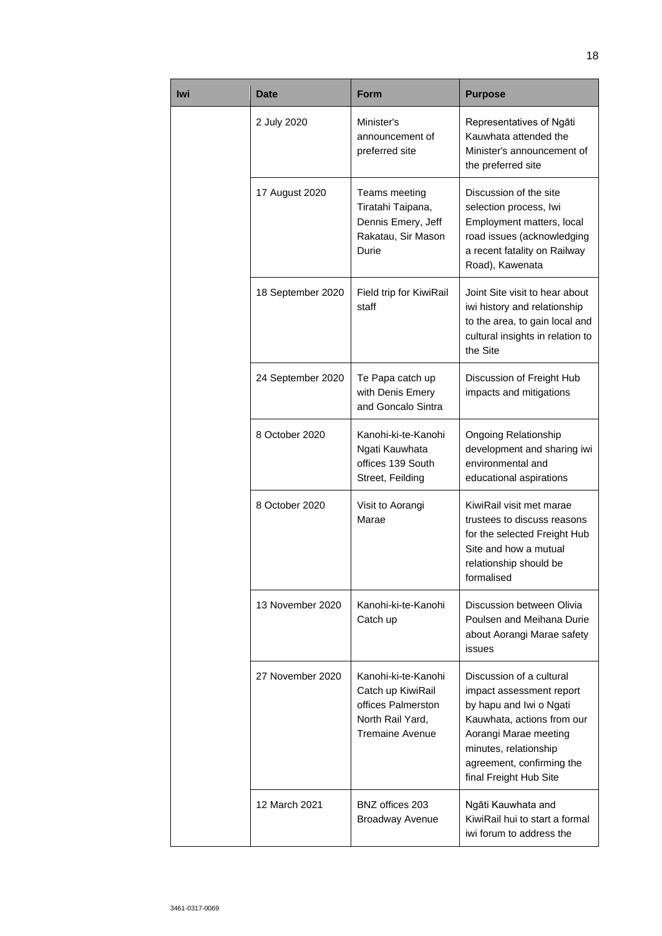| <b>Iwi</b> | Date              | <b>Form</b>                                                                                                  | <b>Purpose</b>                                                                                                                                                                                                         |
|------------|-------------------|--------------------------------------------------------------------------------------------------------------|------------------------------------------------------------------------------------------------------------------------------------------------------------------------------------------------------------------------|
|            | 2 July 2020       | Minister's<br>announcement of<br>preferred site                                                              | Representatives of Ngāti<br>Kauwhata attended the<br>Minister's announcement of<br>the preferred site                                                                                                                  |
|            | 17 August 2020    | Teams meeting<br>Tiratahi Taipana,<br>Dennis Emery, Jeff<br>Rakatau, Sir Mason<br>Durie                      | Discussion of the site<br>selection process, Iwi<br>Employment matters, local<br>road issues (acknowledging<br>a recent fatality on Railway<br>Road), Kawenata                                                         |
|            | 18 September 2020 | Field trip for KiwiRail<br>staff                                                                             | Joint Site visit to hear about<br>iwi history and relationship<br>to the area, to gain local and<br>cultural insights in relation to<br>the Site                                                                       |
|            | 24 September 2020 | Te Papa catch up<br>with Denis Emery<br>and Goncalo Sintra                                                   | Discussion of Freight Hub<br>impacts and mitigations                                                                                                                                                                   |
|            | 8 October 2020    | Kanohi-ki-te-Kanohi<br>Ngati Kauwhata<br>offices 139 South<br>Street, Feilding                               | <b>Ongoing Relationship</b><br>development and sharing iwi<br>environmental and<br>educational aspirations                                                                                                             |
|            | 8 October 2020    | Visit to Aorangi<br>Marae                                                                                    | KiwiRail visit met marae<br>trustees to discuss reasons<br>for the selected Freight Hub<br>Site and how a mutual<br>relationship should be<br>formalised                                                               |
|            | 13 November 2020  | Kanohi-ki-te-Kanohi<br>Catch up                                                                              | Discussion between Olivia<br>Poulsen and Meihana Durie<br>about Aorangi Marae safety<br>issues                                                                                                                         |
|            | 27 November 2020  | Kanohi-ki-te-Kanohi<br>Catch up KiwiRail<br>offices Palmerston<br>North Rail Yard.<br><b>Tremaine Avenue</b> | Discussion of a cultural<br>impact assessment report<br>by hapu and Iwi o Ngati<br>Kauwhata, actions from our<br>Aorangi Marae meeting<br>minutes, relationship<br>agreement, confirming the<br>final Freight Hub Site |
|            | 12 March 2021     | BNZ offices 203<br><b>Broadway Avenue</b>                                                                    | Ngāti Kauwhata and<br>KiwiRail hui to start a formal<br>iwi forum to address the                                                                                                                                       |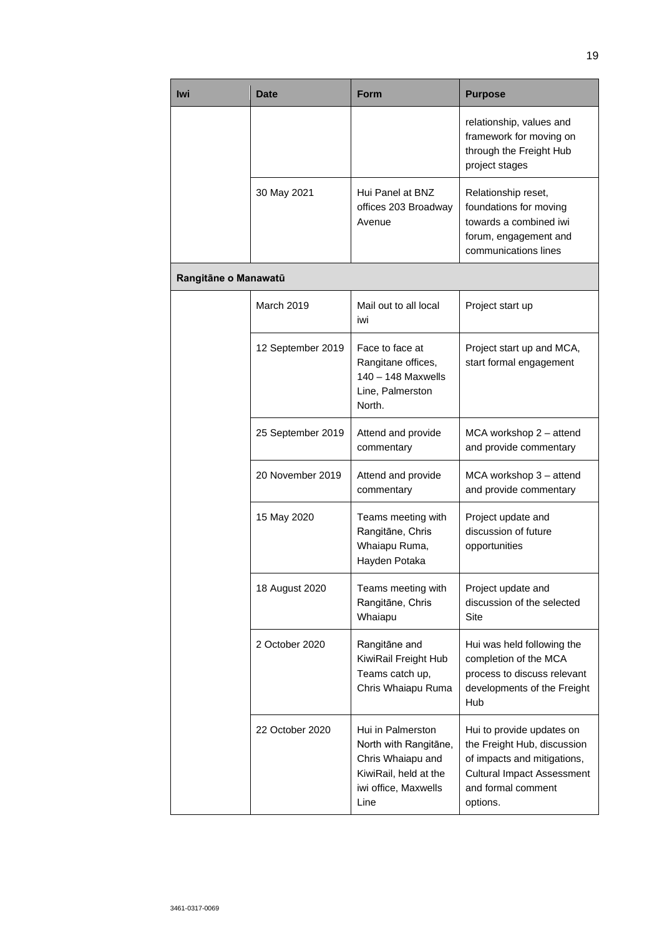| <b>Iwi</b>           | Date              | <b>Form</b>                                                                                 | <b>Purpose</b>                                                                                                           |
|----------------------|-------------------|---------------------------------------------------------------------------------------------|--------------------------------------------------------------------------------------------------------------------------|
|                      |                   |                                                                                             | relationship, values and<br>framework for moving on<br>through the Freight Hub<br>project stages                         |
|                      | 30 May 2021       | Hui Panel at BNZ<br>offices 203 Broadway<br>Avenue                                          | Relationship reset,<br>foundations for moving<br>towards a combined iwi<br>forum, engagement and<br>communications lines |
| Rangitāne o Manawatū |                   |                                                                                             |                                                                                                                          |
|                      | <b>March 2019</b> | Mail out to all local<br>iwi                                                                | Project start up                                                                                                         |
|                      | 12 September 2019 | Face to face at<br>Rangitane offices,<br>$140 - 148$ Maxwells<br>Line, Palmerston<br>North. | Project start up and MCA,<br>start formal engagement                                                                     |
|                      | 25 September 2019 | Attend and provide<br>commentary                                                            | MCA workshop $2$ – attend<br>and provide commentary                                                                      |
|                      | 20 November 2019  | Attend and provide<br>commentary                                                            | MCA workshop 3 - attend<br>and provide commentary                                                                        |
|                      | 15 May 2020       | Teams meeting with<br>Rangitāne, Chris<br>Whaiapu Ruma,<br>Hayden Potaka                    | Project update and<br>discussion of future<br>opportunities                                                              |
|                      | 18 August 2020    | Teams meeting with<br>Rangitāne, Chris<br>Whaiapu                                           | Project update and<br>discussion of the selected<br>Site                                                                 |
|                      | 2 October 2020    | Rangitāne and<br>KiwiRail Freight Hub<br>Teams catch up,<br>Chris Whaiapu Ruma              | Hui was held following the<br>completion of the MCA<br>process to discuss relevant<br>developments of the Freight<br>Hub |
|                      | 22 October 2020   | Hui in Palmerston                                                                           | Hui to provide updates on                                                                                                |

North with Rangitāne, Chris Whaiapu and KiwiRail, held at the iwi office, Maxwells

the Freight Hub, discussion of impacts and mitigations, Cultural Impact Assessment

and formal comment

options.

Line